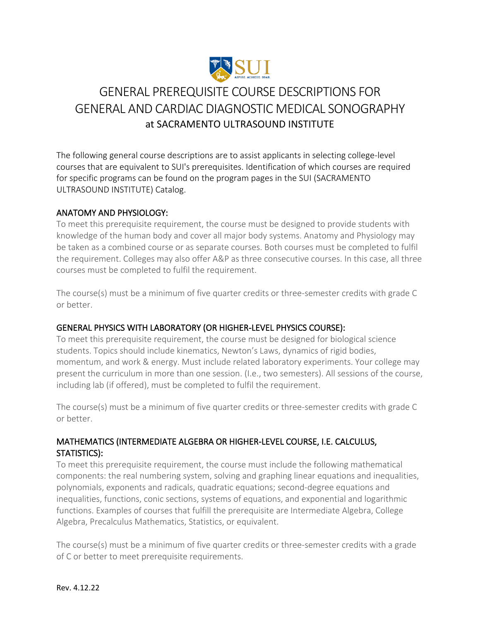

# GENERAL PREREQUISITE COURSE DESCRIPTIONS FOR GENERAL AND CARDIAC DIAGNOSTIC MEDICAL SONOGRAPHY at SACRAMENTO ULTRASOUND INSTITUTE

The following general course descriptions are to assist applicants in selecting college-level courses that are equivalent to SUI's prerequisites. Identification of which courses are required for specific programs can be found on the program pages in the SUI (SACRAMENTO ULTRASOUND INSTITUTE) Catalog.

# ANATOMY AND PHYSIOLOGY:

To meet this prerequisite requirement, the course must be designed to provide students with knowledge of the human body and cover all major body systems. Anatomy and Physiology may be taken as a combined course or as separate courses. Both courses must be completed to fulfil the requirement. Colleges may also offer A&P as three consecutive courses. In this case, all three courses must be completed to fulfil the requirement.

The course(s) must be a minimum of five quarter credits or three-semester credits with grade C or better.

# GENERAL PHYSICS WITH LABORATORY (OR HIGHER-LEVEL PHYSICS COURSE):

To meet this prerequisite requirement, the course must be designed for biological science students. Topics should include kinematics, Newton's Laws, dynamics of rigid bodies, momentum, and work & energy. Must include related laboratory experiments. Your college may present the curriculum in more than one session. (I.e., two semesters). All sessions of the course, including lab (if offered), must be completed to fulfil the requirement.

The course(s) must be a minimum of five quarter credits or three-semester credits with grade C or better.

# MATHEMATICS (INTERMEDIATE ALGEBRA OR HIGHER-LEVEL COURSE, I.E. CALCULUS, STATISTICS):

To meet this prerequisite requirement, the course must include the following mathematical components: the real numbering system, solving and graphing linear equations and inequalities, polynomials, exponents and radicals, quadratic equations; second-degree equations and inequalities, functions, conic sections, systems of equations, and exponential and logarithmic functions. Examples of courses that fulfill the prerequisite are Intermediate Algebra, College Algebra, Precalculus Mathematics, Statistics, or equivalent.

The course(s) must be a minimum of five quarter credits or three-semester credits with a grade of C or better to meet prerequisite requirements.